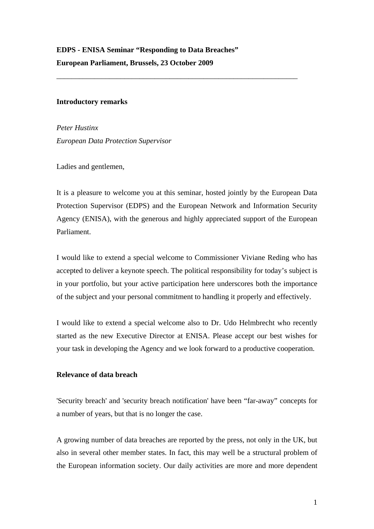\_\_\_\_\_\_\_\_\_\_\_\_\_\_\_\_\_\_\_\_\_\_\_\_\_\_\_\_\_\_\_\_\_\_\_\_\_\_\_\_\_\_\_\_\_\_\_\_\_\_\_\_\_\_\_\_\_\_\_\_\_\_\_\_

#### **Introductory remarks**

*Peter Hustinx European Data Protection Supervisor* 

Ladies and gentlemen,

It is a pleasure to welcome you at this seminar, hosted jointly by the European Data Protection Supervisor (EDPS) and the European Network and Information Security Agency (ENISA), with the generous and highly appreciated support of the European Parliament.

I would like to extend a special welcome to Commissioner Viviane Reding who has accepted to deliver a keynote speech. The political responsibility for today's subject is in your portfolio, but your active participation here underscores both the importance of the subject and your personal commitment to handling it properly and effectively.

I would like to extend a special welcome also to Dr. Udo Helmbrecht who recently started as the new Executive Director at ENISA. Please accept our best wishes for your task in developing the Agency and we look forward to a productive cooperation.

# **Relevance of data breach**

'Security breach' and 'security breach notification' have been "far-away" concepts for a number of years, but that is no longer the case.

A growing number of data breaches are reported by the press, not only in the UK, but also in several other member states. In fact, this may well be a structural problem of the European information society. Our daily activities are more and more dependent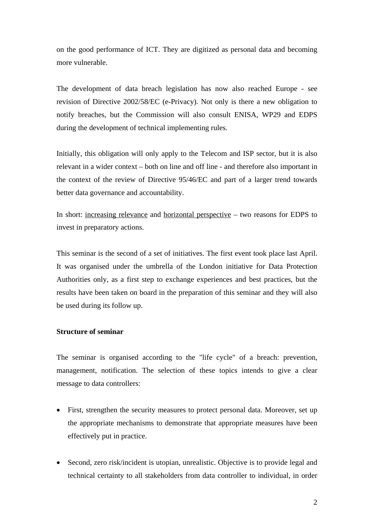on the good performance of ICT. They are digitized as personal data and becoming more vulnerable.

The development of data breach legislation has now also reached Europe - see revision of Directive 2002/58/EC (e-Privacy). Not only is there a new obligation to notify breaches, but the Commission will also consult ENISA, WP29 and EDPS during the development of technical implementing rules.

Initially, this obligation will only apply to the Telecom and ISP sector, but it is also relevant in a wider context – both on line and off line - and therefore also important in the context of the review of Directive 95/46/EC and part of a larger trend towards better data governance and accountability.

In short: increasing relevance and horizontal perspective – two reasons for EDPS to invest in preparatory actions.

This seminar is the second of a set of initiatives. The first event took place last April. It was organised under the umbrella of the London initiative for Data Protection Authorities only, as a first step to exchange experiences and best practices, but the results have been taken on board in the preparation of this seminar and they will also be used during its follow up.

### **Structure of seminar**

The seminar is organised according to the "life cycle" of a breach: prevention, management, notification. The selection of these topics intends to give a clear message to data controllers:

- First, strengthen the security measures to protect personal data. Moreover, set up the appropriate mechanisms to demonstrate that appropriate measures have been effectively put in practice.
- Second, zero risk/incident is utopian, unrealistic. Objective is to provide legal and technical certainty to all stakeholders from data controller to individual, in order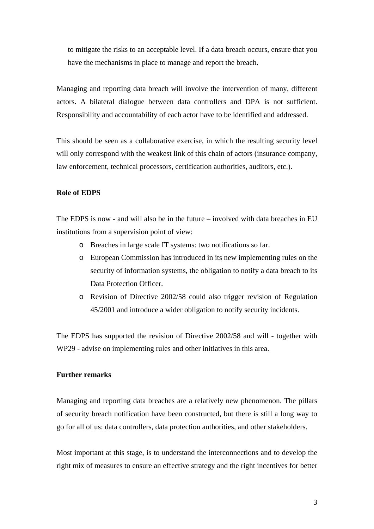to mitigate the risks to an acceptable level. If a data breach occurs, ensure that you have the mechanisms in place to manage and report the breach.

Managing and reporting data breach will involve the intervention of many, different actors. A bilateral dialogue between data controllers and DPA is not sufficient. Responsibility and accountability of each actor have to be identified and addressed.

This should be seen as a collaborative exercise, in which the resulting security level will only correspond with the weakest link of this chain of actors (insurance company, law enforcement, technical processors, certification authorities, auditors, etc.).

### **Role of EDPS**

The EDPS is now - and will also be in the future – involved with data breaches in EU institutions from a supervision point of view:

- o Breaches in large scale IT systems: two notifications so far.
- o European Commission has introduced in its new implementing rules on the security of information systems, the obligation to notify a data breach to its Data Protection Officer.
- o Revision of Directive 2002/58 could also trigger revision of Regulation 45/2001 and introduce a wider obligation to notify security incidents.

The EDPS has supported the revision of Directive 2002/58 and will - together with WP29 - advise on implementing rules and other initiatives in this area.

## **Further remarks**

Managing and reporting data breaches are a relatively new phenomenon. The pillars of security breach notification have been constructed, but there is still a long way to go for all of us: data controllers, data protection authorities, and other stakeholders.

Most important at this stage, is to understand the interconnections and to develop the right mix of measures to ensure an effective strategy and the right incentives for better